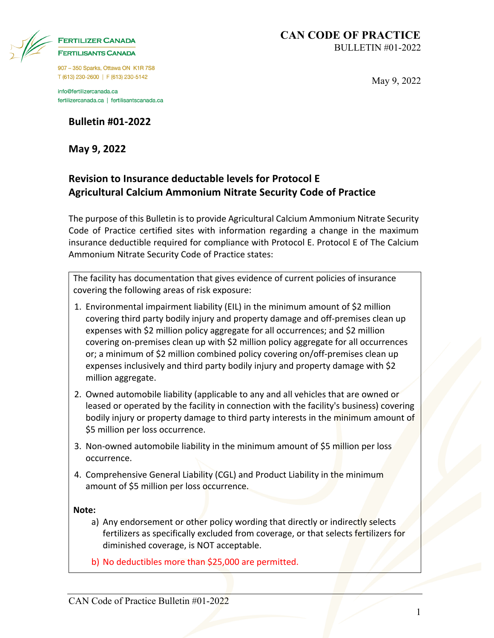| <b>FERTILIZER CANADA</b>   |
|----------------------------|
| <b>FERTILISANTS CANADA</b> |

907 - 350 Sparks, Ottawa ON K1R 7S8 T (613) 230-2600 | F (613) 230-5142

info@fertilizercanada.ca fertilizercanada.ca | fertilisantscanada.ca

**Bulletin #01-2022**

**May 9, 2022**

May 9, 2022

### **Revision to Insurance deductable levels for Protocol E Agricultural Calcium Ammonium Nitrate Security Code of Practice**

The purpose of this Bulletin is to provide Agricultural Calcium Ammonium Nitrate Security Code of Practice certified sites with information regarding a change in the maximum insurance deductible required for compliance with Protocol E. Protocol E of The Calcium Ammonium Nitrate Security Code of Practice states:

The facility has documentation that gives evidence of current policies of insurance covering the following areas of risk exposure:

- 1. Environmental impairment liability (EIL) in the minimum amount of \$2 million covering third party bodily injury and property damage and off-premises clean up expenses with \$2 million policy aggregate for all occurrences; and \$2 million covering on-premises clean up with \$2 million policy aggregate for all occurrences or; a minimum of \$2 million combined policy covering on/off-premises clean up expenses inclusively and third party bodily injury and property damage with \$2 million aggregate.
- 2. Owned automobile liability (applicable to any and all vehicles that are owned or leased or operated by the facility in connection with the facility's business) covering bodily injury or property damage to third party interests in the minimum amount of \$5 million per loss occurrence.
- 3. Non-owned automobile liability in the minimum amount of \$5 million per loss occurrence.
- 4. Comprehensive General Liability (CGL) and Product Liability in the minimum amount of \$5 million per loss occurrence.

**Note:**

- a) Any endorsement or other policy wording that directly or indirectly selects fertilizers as specifically excluded from coverage, or that selects fertilizers for diminished coverage, is NOT acceptable.
- b) No deductibles more than \$25,000 are permitted.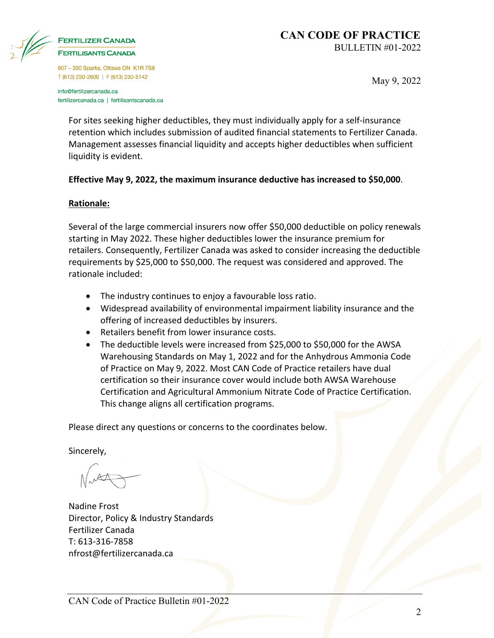

# **FERTILISANTS CANADA**

907 - 350 Sparks, Ottawa ON K1R 7S8 T (613) 230-2600 | F (613) 230-5142

info@fertilizercanada.ca fertilizercanada.ca | fertilisantscanada.ca May 9, 2022

For sites seeking higher deductibles, they must individually apply for a self-insurance retention which includes submission of audited financial statements to Fertilizer Canada. Management assesses financial liquidity and accepts higher deductibles when sufficient liquidity is evident.

#### **Effective May 9, 2022, the maximum insurance deductive has increased to \$50,000**.

#### **Rationale:**

Several of the large commercial insurers now offer \$50,000 deductible on policy renewals starting in May 2022. These higher deductibles lower the insurance premium for retailers. Consequently, Fertilizer Canada was asked to consider increasing the deductible requirements by \$25,000 to \$50,000. The request was considered and approved. The rationale included:

- The industry continues to enjoy a favourable loss ratio.
- Widespread availability of environmental impairment liability insurance and the offering of increased deductibles by insurers.
- Retailers benefit from lower insurance costs.
- The deductible levels were increased from \$25,000 to \$50,000 for the AWSA Warehousing Standards on May 1, 2022 and for the Anhydrous Ammonia Code of Practice on May 9, 2022. Most CAN Code of Practice retailers have dual certification so their insurance cover would include both AWSA Warehouse Certification and Agricultural Ammonium Nitrate Code of Practice Certification. This change aligns all certification programs.

Please direct any questions or concerns to the coordinates below.

Sincerely,

Nadine Frost Director, Policy & Industry Standards Fertilizer Canada T: 613-316-7858 nfrost@fertilizercanada.ca